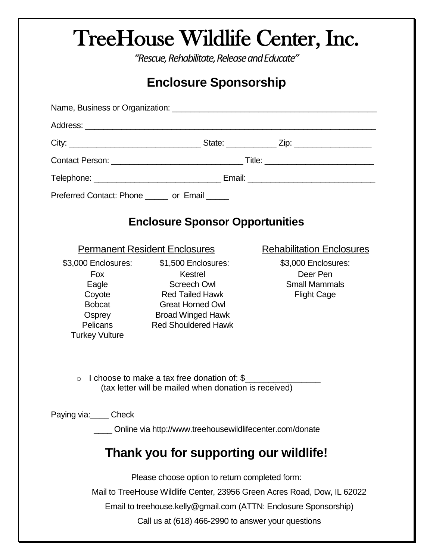## TreeHouse Wildlife Center, Inc.

*"Rescue, Rehabilitate, Release and Educate"*

## **Enclosure Sponsorship**

| Preferred Contact: Phone ______ or Email _____                                                                                                                                                                                                       |                                                                                                                                                                     |                                                                               |
|------------------------------------------------------------------------------------------------------------------------------------------------------------------------------------------------------------------------------------------------------|---------------------------------------------------------------------------------------------------------------------------------------------------------------------|-------------------------------------------------------------------------------|
| <b>Enclosure Sponsor Opportunities</b>                                                                                                                                                                                                               |                                                                                                                                                                     |                                                                               |
|                                                                                                                                                                                                                                                      | <b>Permanent Resident Enclosures</b>                                                                                                                                | <b>Rehabilitation Enclosures</b>                                              |
| \$3,000 Enclosures:<br>Fox<br>Eagle<br>Coyote<br><b>Bobcat</b><br>Osprey<br>Pelicans<br><b>Turkey Vulture</b>                                                                                                                                        | \$1,500 Enclosures:<br>Kestrel<br><b>Screech Owl</b><br><b>Red Tailed Hawk</b><br><b>Great Horned Owl</b><br><b>Broad Winged Hawk</b><br><b>Red Shouldered Hawk</b> | \$3,000 Enclosures:<br>Deer Pen<br><b>Small Mammals</b><br><b>Flight Cage</b> |
| I choose to make a tax free donation of: \$<br>$\bigcap$<br>(tax letter will be mailed when donation is received)                                                                                                                                    |                                                                                                                                                                     |                                                                               |
| Paying via: Check<br>Online via http://www.treehousewildlifecenter.com/donate                                                                                                                                                                        |                                                                                                                                                                     |                                                                               |
| Thank you for supporting our wildlife!                                                                                                                                                                                                               |                                                                                                                                                                     |                                                                               |
| Please choose option to return completed form:<br>Mail to TreeHouse Wildlife Center, 23956 Green Acres Road, Dow, IL 62022<br>Email to treehouse.kelly@gmail.com (ATTN: Enclosure Sponsorship)<br>Call us at (618) 466-2990 to answer your questions |                                                                                                                                                                     |                                                                               |